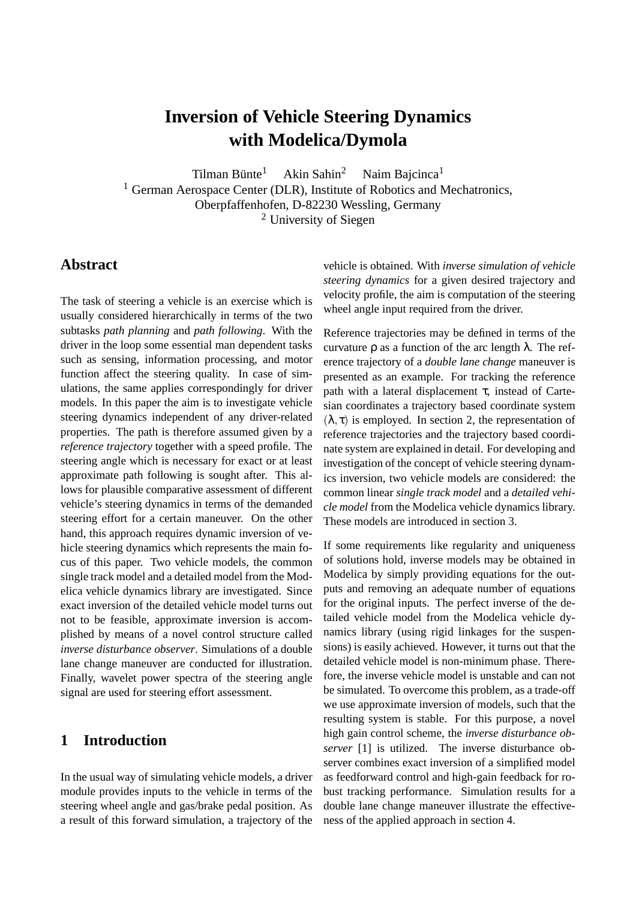# **Inversion of Vehicle Steering Dynamics with Modelica/Dymola**

Tilman Bünte<sup>1</sup> Akin Sahin<sup>2</sup> Naim Bajcinca<sup>1</sup>

<sup>1</sup> German Aerospace Center (DLR), Institute of Robotics and Mechatronics, Oberpfaffenhofen, D-82230 Wessling, Germany <sup>2</sup> University of Siegen

## **Abstract**

The task of steering a vehicle is an exercise which is usually considered hierarchically in terms of the two subtasks *path planning* and *path following*. With the driver in the loop some essential man dependent tasks such as sensing, information processing, and motor function affect the steering quality. In case of simulations, the same applies correspondingly for driver models. In this paper the aim is to investigate vehicle steering dynamics independent of any driver-related properties. The path is therefore assumed given by a *reference trajectory* together with a speed profile. The steering angle which is necessary for exact or at least approximate path following is sought after. This allows for plausible comparative assessment of different vehicle's steering dynamics in terms of the demanded steering effort for a certain maneuver. On the other hand, this approach requires dynamic inversion of vehicle steering dynamics which represents the main focus of this paper. Two vehicle models, the common single track model and a detailed model from the Modelica vehicle dynamics library are investigated. Since exact inversion of the detailed vehicle model turns out not to be feasible, approximate inversion is accomplished by means of a novel control structure called *inverse disturbance observer*. Simulations of a double lane change maneuver are conducted for illustration. Finally, wavelet power spectra of the steering angle signal are used for steering effort assessment.

## **1 Introduction**

In the usual way of simulating vehicle models, a driver module provides inputs to the vehicle in terms of the steering wheel angle and gas/brake pedal position. As a result of this forward simulation, a trajectory of the vehicle is obtained. With *inverse simulation of vehicle steering dynamics* for a given desired trajectory and velocity profile, the aim is computation of the steering wheel angle input required from the driver.

Reference trajectories may be defined in terms of the curvature ρ as a function of the arc length λ. The reference trajectory of a *double lane change* maneuver is presented as an example. For tracking the reference path with a lateral displacement  $\tau$ , instead of Cartesian coordinates a trajectory based coordinate system  $(\lambda, \tau)$  is employed. In section 2, the representation of reference trajectories and the trajectory based coordinate system are explained in detail. For developing and investigation of the concept of vehicle steering dynamics inversion, two vehicle models are considered: the common linear *single track model* and a *detailed vehicle model* from the Modelica vehicle dynamics library. These models are introduced in section 3.

If some requirements like regularity and uniqueness of solutions hold, inverse models may be obtained in Modelica by simply providing equations for the outputs and removing an adequate number of equations for the original inputs. The perfect inverse of the detailed vehicle model from the Modelica vehicle dynamics library (using rigid linkages for the suspensions) is easily achieved. However, it turns out that the detailed vehicle model is non-minimum phase. Therefore, the inverse vehicle model is unstable and can not be simulated. To overcome this problem, as a trade-off we use approximate inversion of models, such that the resulting system is stable. For this purpose, a novel high gain control scheme, the *inverse disturbance observer* [1] is utilized. The inverse disturbance observer combines exact inversion of a simplified model as feedforward control and high-gain feedback for robust tracking performance. Simulation results for a double lane change maneuver illustrate the effectiveness of the applied approach in section 4.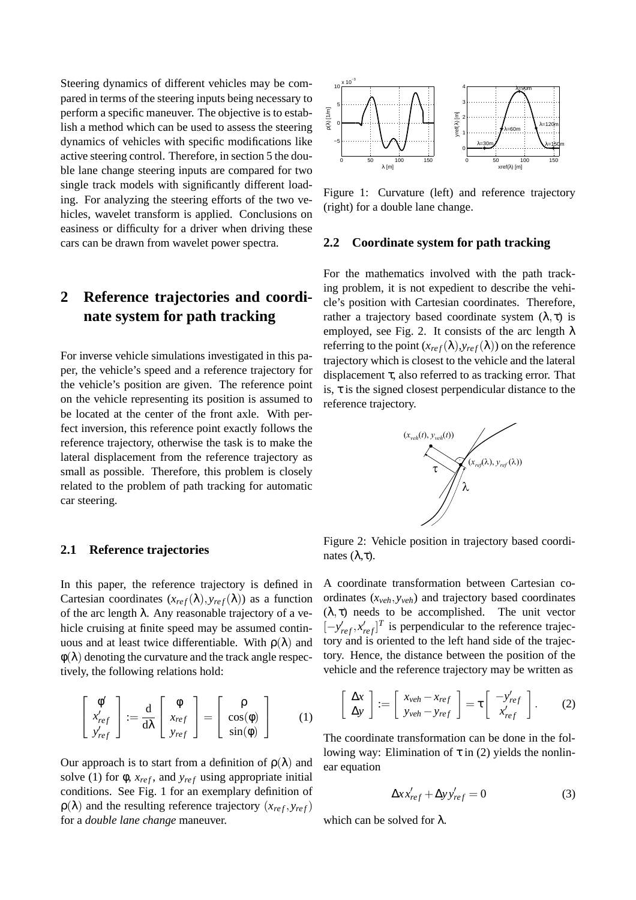Steering dynamics of different vehicles may be compared in terms of the steering inputs being necessary to perform a specific maneuver. The objective is to establish a method which can be used to assess the steering dynamics of vehicles with specific modifications like active steering control. Therefore, in section 5 the double lane change steering inputs are compared for two single track models with significantly different loading. For analyzing the steering efforts of the two vehicles, wavelet transform is applied. Conclusions on easiness or difficulty for a driver when driving these cars can be drawn from wavelet power spectra.

## **2 Reference trajectories and coordinate system for path tracking**

For inverse vehicle simulations investigated in this paper, the vehicle's speed and a reference trajectory for the vehicle's position are given. The reference point on the vehicle representing its position is assumed to be located at the center of the front axle. With perfect inversion, this reference point exactly follows the reference trajectory, otherwise the task is to make the lateral displacement from the reference trajectory as small as possible. Therefore, this problem is closely related to the problem of path tracking for automatic car steering.

#### **2.1 Reference trajectories**

In this paper, the reference trajectory is defined in Cartesian coordinates  $(x_{ref}(\lambda), y_{ref}(\lambda))$  as a function of the arc length  $\lambda$ . Any reasonable trajectory of a vehicle cruising at finite speed may be assumed continuous and at least twice differentiable. With  $\rho(\lambda)$  and  $\phi(\lambda)$  denoting the curvature and the track angle respectively, the following relations hold:

$$
\begin{bmatrix} \phi' \\ x'_{ref} \\ y'_{ref} \end{bmatrix} := \frac{d}{d\lambda} \begin{bmatrix} \phi \\ x_{ref} \\ y_{ref} \end{bmatrix} = \begin{bmatrix} \rho \\ \cos(\phi) \\ \sin(\phi) \end{bmatrix}
$$
 (1)

Our approach is to start from a definition of  $\rho(\lambda)$  and solve (1) for  $\phi$ ,  $x_{ref}$ , and  $y_{ref}$  using appropriate initial conditions. See Fig. 1 for an exemplary definition of  $\rho(\lambda)$  and the resulting reference trajectory  $(x_{ref}, y_{ref})$ for a *double lane change* maneuver.



Figure 1: Curvature (left) and reference trajectory (right) for a double lane change.

#### **2.2 Coordinate system for path tracking**

For the mathematics involved with the path tracking problem, it is not expedient to describe the vehicle's position with Cartesian coordinates. Therefore, rather a trajectory based coordinate system  $(λ, τ)$  is employed, see Fig. 2. It consists of the arc length  $\lambda$ referring to the point  $(x_{ref}(\lambda), y_{ref}(\lambda))$  on the reference trajectory which is closest to the vehicle and the lateral displacement τ, also referred to as tracking error. That is,  $\tau$  is the signed closest perpendicular distance to the reference trajectory.



Figure 2: Vehicle position in trajectory based coordinates (λ,τ).

A coordinate transformation between Cartesian coordinates (*xveh*, *yveh*) and trajectory based coordinates  $(\lambda, \tau)$  needs to be accomplished. The unit vector  $[-y'_{ref}, x'_{ref}]^T$  is perpendicular to the reference trajectory and is oriented to the left hand side of the trajectory. Hence, the distance between the position of the vehicle and the reference trajectory may be written as

$$
\left[\begin{array}{c}\Delta x\\ \Delta y\end{array}\right] := \left[\begin{array}{c}x_{veh} - x_{ref}\\ y_{veh} - y_{ref}\end{array}\right] = \tau \left[\begin{array}{c}-y'_{ref}\\ x'_{ref}\end{array}\right].
$$
 (2)

The coordinate transformation can be done in the following way: Elimination of  $\tau$  in (2) yields the nonlinear equation

$$
\Delta x x'_{ref} + \Delta y y'_{ref} = 0 \tag{3}
$$

which can be solved for  $\lambda$ .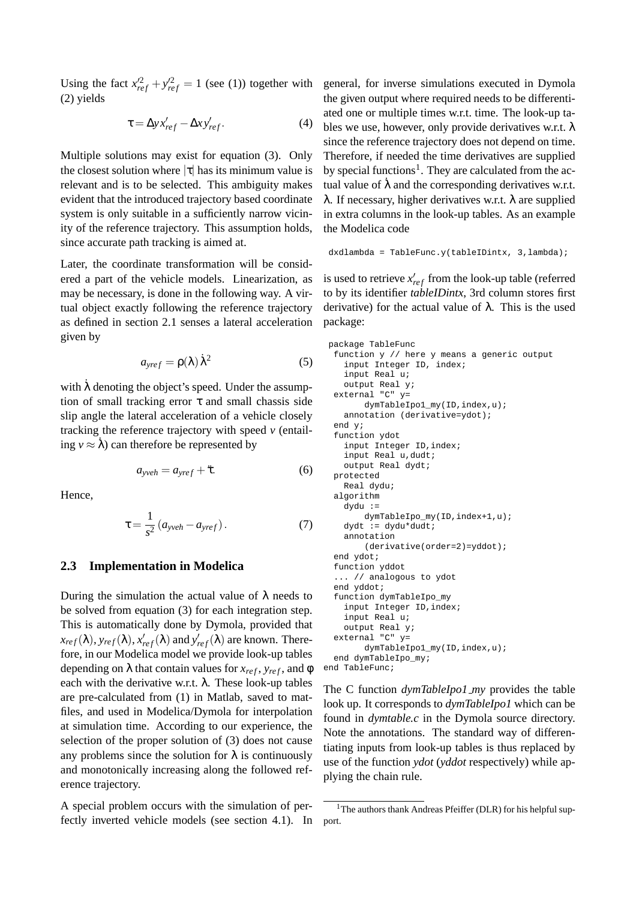Using the fact  $x_{ref}^2 + y_{ref}^2 = 1$  (see (1)) together with (2) yields

$$
\tau = \Delta y x'_{ref} - \Delta x y'_{ref}.
$$
\n(4)

Multiple solutions may exist for equation (3). Only the closest solution where  $|\tau|$  has its minimum value is relevant and is to be selected. This ambiguity makes evident that the introduced trajectory based coordinate system is only suitable in a sufficiently narrow vicinity of the reference trajectory. This assumption holds, since accurate path tracking is aimed at.

Later, the coordinate transformation will be considered a part of the vehicle models. Linearization, as may be necessary, is done in the following way. A virtual object exactly following the reference trajectory as defined in section 2.1 senses a lateral acceleration given by

$$
a_{\text{yref}} = \rho(\lambda) \,\dot{\lambda}^2 \tag{5}
$$

with  $\lambda$  denoting the object's speed. Under the assumption of small tracking error  $\tau$  and small chassis side slip angle the lateral acceleration of a vehicle closely tracking the reference trajectory with speed *v* (entailing  $v \approx \lambda$ ) can therefore be represented by

$$
a_{\text{yveh}} = a_{\text{yref}} + \ddot{\tau}.\tag{6}
$$

Hence,

$$
\tau = \frac{1}{s^2} \left( a_{\text{yveh}} - a_{\text{yref}} \right). \tag{7}
$$

#### **2.3 Implementation in Modelica**

During the simulation the actual value of  $\lambda$  needs to be solved from equation (3) for each integration step. This is automatically done by Dymola, provided that  $x_{ref}(\lambda), y_{ref}(\lambda), x'_{ref}(\lambda)$  and  $y'_{ref}(\lambda)$  are known. Therefore, in our Modelica model we provide look-up tables depending on  $\lambda$  that contain values for  $x_{ref}$ ,  $y_{ref}$ , and  $\phi$ each with the derivative w.r.t.  $\lambda$ . These look-up tables are pre-calculated from (1) in Matlab, saved to matfiles, and used in Modelica/Dymola for interpolation at simulation time. According to our experience, the selection of the proper solution of (3) does not cause any problems since the solution for  $\lambda$  is continuously and monotonically increasing along the followed reference trajectory.

A special problem occurs with the simulation of perfectly inverted vehicle models (see section 4.1). In

general, for inverse simulations executed in Dymola the given output where required needs to be differentiated one or multiple times w.r.t. time. The look-up tables we use, however, only provide derivatives w.r.t.  $\lambda$ since the reference trajectory does not depend on time. Therefore, if needed the time derivatives are supplied by special functions<sup>1</sup>. They are calculated from the actual value of  $\lambda$  and the corresponding derivatives w.r.t. λ. If necessary, higher derivatives w.r.t. λ are supplied in extra columns in the look-up tables. As an example the Modelica code

```
dxdlambda = TableFunc.y(tableIDintx, 3,lambda);
```
is used to retrieve  $x'_{ref}$  from the look-up table (referred to by its identifier *tableIDintx*, 3rd column stores first derivative) for the actual value of  $\lambda$ . This is the used package:

```
package TableFunc
 function y // here y means a generic output
    input Integer ID, index;
    input Real u;
    output Real y;
  external "C" y=
        dymTableIpo1_my(ID,index,u);
    annotation (derivative=ydot);
  end y;
 function ydot
    input Integer ID,index;
    input Real u,dudt;
    output Real dydt;
 protected
   Real dydu;
 algorithm
    dydu :=
       dymTableIpo_my(ID,index+1,u);
    dydt := dydu*dudt;
    annotation
        (derivative(order=2)=yddot);
 end ydot;
 function yddot
  ... // analogous to ydot
  end yddot;
 function dymTableIpo_my
    input Integer ID,index;
    input Real u;
    output Real y;
  external "C" y=
        dymTableIpo1_my(ID,index,u);
 end dymTableIpo_my;
end TableFunc;
```
The C function *dymTableIpo1 my* provides the table look up. It corresponds to *dymTableIpo1* which can be found in *dymtable.c* in the Dymola source directory. Note the annotations. The standard way of differentiating inputs from look-up tables is thus replaced by use of the function *ydot* (*yddot* respectively) while applying the chain rule.

<sup>&</sup>lt;sup>1</sup>The authors thank Andreas Pfeiffer (DLR) for his helpful support.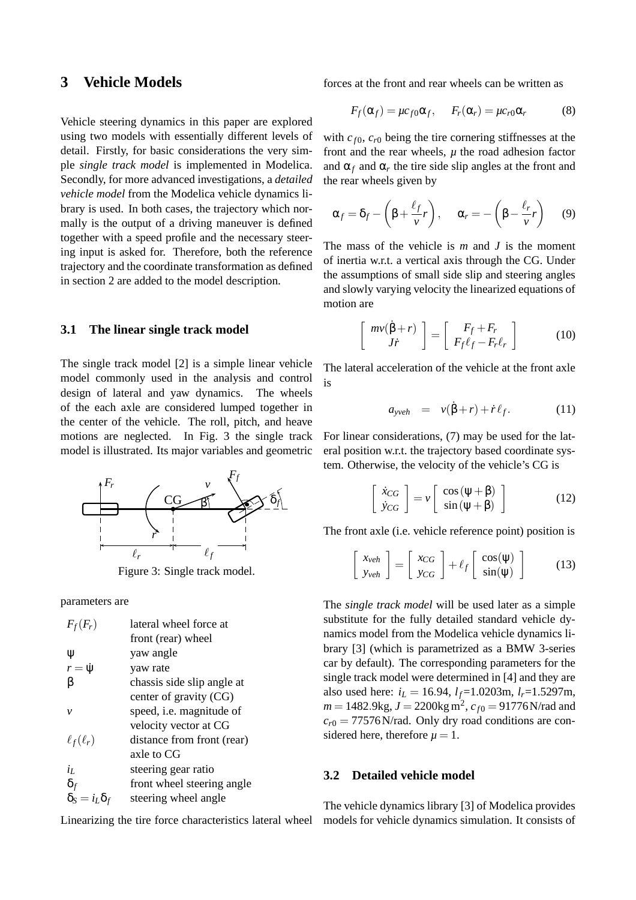### **3 Vehicle Models**

Vehicle steering dynamics in this paper are explored using two models with essentially different levels of detail. Firstly, for basic considerations the very simple *single track model* is implemented in Modelica. Secondly, for more advanced investigations, a *detailed vehicle model* from the Modelica vehicle dynamics library is used. In both cases, the trajectory which normally is the output of a driving maneuver is defined together with a speed profile and the necessary steering input is asked for. Therefore, both the reference trajectory and the coordinate transformation as defined in section 2 are added to the model description.

#### **3.1 The linear single track model**

The single track model [2] is a simple linear vehicle model commonly used in the analysis and control design of lateral and yaw dynamics. The wheels of the each axle are considered lumped together in the center of the vehicle. The roll, pitch, and heave motions are neglected. In Fig. 3 the single track model is illustrated. Its major variables and geometric



Figure 3: Single track model.

parameters are

| $F_f(F_r)$                | lateral wheel force at     |
|---------------------------|----------------------------|
|                           | front (rear) wheel         |
| Ψ                         | yaw angle                  |
| $r = \dot{\psi}$          | yaw rate                   |
| B                         | chassis side slip angle at |
|                           | center of gravity (CG)     |
| ν                         | speed, i.e. magnitude of   |
|                           | velocity vector at CG      |
| $\ell_f(\ell_r)$          | distance from front (rear) |
|                           | axle to CG                 |
| $i_L$                     | steering gear ratio        |
| $\delta_f$                | front wheel steering angle |
| $\delta_S = i_L \delta_f$ | steering wheel angle       |

Linearizing the tire force characteristics lateral wheel

forces at the front and rear wheels can be written as

$$
F_f(\alpha_f) = \mu c_{f0} \alpha_f, \quad F_r(\alpha_r) = \mu c_{r0} \alpha_r \tag{8}
$$

with  $c_{f0}$ ,  $c_{r0}$  being the tire cornering stiffnesses at the front and the rear wheels,  $\mu$  the road adhesion factor and  $\alpha_f$  and  $\alpha_r$  the tire side slip angles at the front and the rear wheels given by

$$
\alpha_f = \delta_f - \left(\beta + \frac{\ell_f}{v}r\right), \quad \alpha_r = -\left(\beta - \frac{\ell_r}{v}r\right) \quad (9)
$$

The mass of the vehicle is *m* and *J* is the moment of inertia w.r.t. a vertical axis through the CG. Under the assumptions of small side slip and steering angles and slowly varying velocity the linearized equations of motion are

$$
\begin{bmatrix} m\nu(\dot{\beta}+r) \\ Jr \end{bmatrix} = \begin{bmatrix} F_f + F_r \\ F_f \ell_f - F_r \ell_r \end{bmatrix}
$$
 (10)

The lateral acceleration of the vehicle at the front axle is

$$
a_{\text{yveh}} = v(\dot{\beta} + r) + \dot{r}\ell_f. \tag{11}
$$

For linear considerations, (7) may be used for the lateral position w.r.t. the trajectory based coordinate system. Otherwise, the velocity of the vehicle's CG is

$$
\begin{bmatrix} \dot{x}_{CG} \\ \dot{y}_{CG} \end{bmatrix} = v \begin{bmatrix} \cos(\psi + \beta) \\ \sin(\psi + \beta) \end{bmatrix}
$$
 (12)

The front axle (i.e. vehicle reference point) position is

$$
\begin{bmatrix} x_{veh} \\ y_{veh} \end{bmatrix} = \begin{bmatrix} x_{CG} \\ y_{CG} \end{bmatrix} + \ell_f \begin{bmatrix} \cos(\psi) \\ \sin(\psi) \end{bmatrix}
$$
 (13)

The *single track model* will be used later as a simple substitute for the fully detailed standard vehicle dynamics model from the Modelica vehicle dynamics library [3] (which is parametrized as a BMW 3-series car by default). The corresponding parameters for the single track model were determined in [4] and they are also used here:  $i_L = 16.94$ ,  $l_f = 1.0203$ m,  $l_r = 1.5297$ m,  $m = 1482.9$ kg,  $J = 2200$ kg m<sup>2</sup>,  $c_{f0} = 91776$  N/rad and  $c_{r0} = 77576$ N/rad. Only dry road conditions are considered here, therefore  $\mu = 1$ .

#### **3.2 Detailed vehicle model**

The vehicle dynamics library [3] of Modelica provides models for vehicle dynamics simulation. It consists of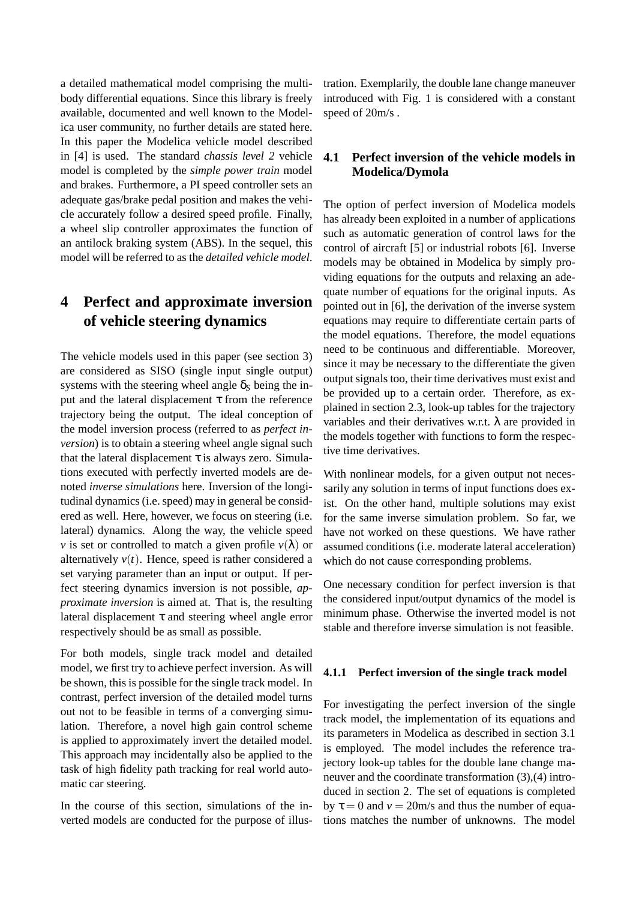a detailed mathematical model comprising the multibody differential equations. Since this library is freely available, documented and well known to the Modelica user community, no further details are stated here. In this paper the Modelica vehicle model described in [4] is used. The standard *chassis level 2* vehicle model is completed by the *simple power train* model and brakes. Furthermore, a PI speed controller sets an adequate gas/brake pedal position and makes the vehicle accurately follow a desired speed profile. Finally, a wheel slip controller approximates the function of an antilock braking system (ABS). In the sequel, this model will be referred to as the *detailed vehicle model*.

## **4 Perfect and approximate inversion of vehicle steering dynamics**

The vehicle models used in this paper (see section 3) are considered as SISO (single input single output) systems with the steering wheel angle  $\delta_S$  being the input and the lateral displacement  $τ$  from the reference trajectory being the output. The ideal conception of the model inversion process (referred to as *perfect inversion*) is to obtain a steering wheel angle signal such that the lateral displacement  $\tau$  is always zero. Simulations executed with perfectly inverted models are denoted *inverse simulations* here. Inversion of the longitudinal dynamics (i.e. speed) may in general be considered as well. Here, however, we focus on steering (i.e. lateral) dynamics. Along the way, the vehicle speed *v* is set or controlled to match a given profile  $v(\lambda)$  or alternatively  $v(t)$ . Hence, speed is rather considered a set varying parameter than an input or output. If perfect steering dynamics inversion is not possible, *approximate inversion* is aimed at. That is, the resulting lateral displacement  $\tau$  and steering wheel angle error respectively should be as small as possible.

For both models, single track model and detailed model, we first try to achieve perfect inversion. As will be shown, this is possible for the single track model. In contrast, perfect inversion of the detailed model turns out not to be feasible in terms of a converging simulation. Therefore, a novel high gain control scheme is applied to approximately invert the detailed model. This approach may incidentally also be applied to the task of high fidelity path tracking for real world automatic car steering.

In the course of this section, simulations of the inverted models are conducted for the purpose of illus-

tration. Exemplarily, the double lane change maneuver introduced with Fig. 1 is considered with a constant speed of 20m/s .

### **4.1 Perfect inversion of the vehicle models in Modelica/Dymola**

The option of perfect inversion of Modelica models has already been exploited in a number of applications such as automatic generation of control laws for the control of aircraft [5] or industrial robots [6]. Inverse models may be obtained in Modelica by simply providing equations for the outputs and relaxing an adequate number of equations for the original inputs. As pointed out in [6], the derivation of the inverse system equations may require to differentiate certain parts of the model equations. Therefore, the model equations need to be continuous and differentiable. Moreover, since it may be necessary to the differentiate the given output signals too, their time derivatives must exist and be provided up to a certain order. Therefore, as explained in section 2.3, look-up tables for the trajectory variables and their derivatives w.r.t.  $\lambda$  are provided in the models together with functions to form the respective time derivatives.

With nonlinear models, for a given output not necessarily any solution in terms of input functions does exist. On the other hand, multiple solutions may exist for the same inverse simulation problem. So far, we have not worked on these questions. We have rather assumed conditions (i.e. moderate lateral acceleration) which do not cause corresponding problems.

One necessary condition for perfect inversion is that the considered input/output dynamics of the model is minimum phase. Otherwise the inverted model is not stable and therefore inverse simulation is not feasible.

#### **4.1.1 Perfect inversion of the single track model**

For investigating the perfect inversion of the single track model, the implementation of its equations and its parameters in Modelica as described in section 3.1 is employed. The model includes the reference trajectory look-up tables for the double lane change maneuver and the coordinate transformation (3),(4) introduced in section 2. The set of equations is completed by  $\tau = 0$  and  $v = 20$ m/s and thus the number of equations matches the number of unknowns. The model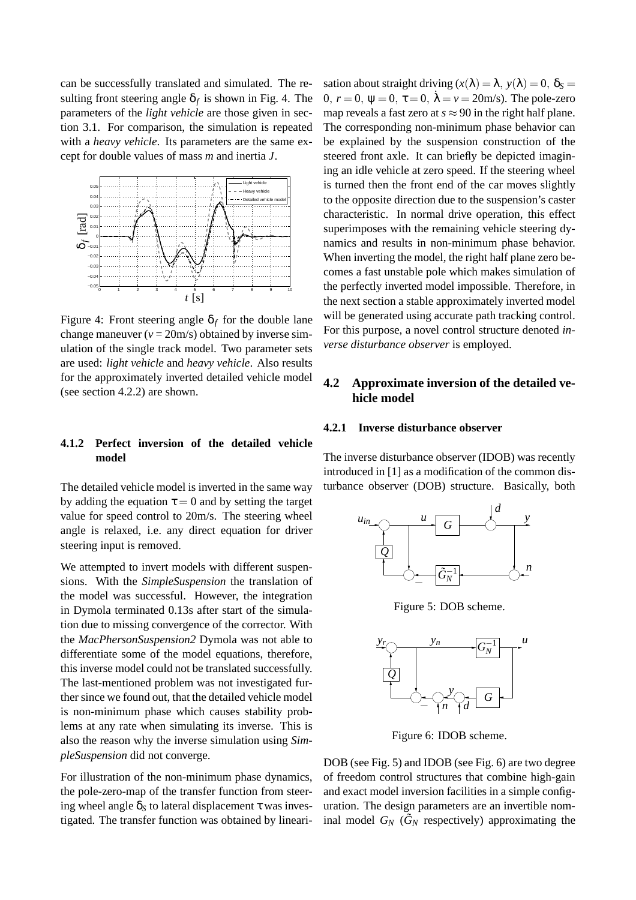can be successfully translated and simulated. The resulting front steering angle  $\delta_f$  is shown in Fig. 4. The parameters of the *light vehicle* are those given in section 3.1. For comparison, the simulation is repeated with a *heavy vehicle*. Its parameters are the same except for double values of mass *m* and inertia *J*.



Figure 4: Front steering angle  $\delta_f$  for the double lane change maneuver  $(v = 20m/s)$  obtained by inverse simulation of the single track model. Two parameter sets are used: *light vehicle* and *heavy vehicle*. Also results for the approximately inverted detailed vehicle model (see section 4.2.2) are shown.

sation about straight driving  $(x(\lambda) = \lambda, y(\lambda) = 0, \delta_s =$ 0,  $r = 0$ ,  $\psi = 0$ ,  $\bar{\chi} = 0$ ,  $\dot{\lambda} = v = 20$ m/s). The pole-zero map reveals a fast zero at  $s \approx 90$  in the right half plane. The corresponding non-minimum phase behavior can be explained by the suspension construction of the steered front axle. It can briefly be depicted imagining an idle vehicle at zero speed. If the steering wheel is turned then the front end of the car moves slightly to the opposite direction due to the suspension's caster characteristic. In normal drive operation, this effect superimposes with the remaining vehicle steering dynamics and results in non-minimum phase behavior. When inverting the model, the right half plane zero becomes a fast unstable pole which makes simulation of the perfectly inverted model impossible. Therefore, in the next section a stable approximately inverted model will be generated using accurate path tracking control. For this purpose, a novel control structure denoted *inverse disturbance observer* is employed.

### **4.2 Approximate inversion of the detailed vehicle model**

**4.2.1 Inverse disturbance observer** PSfrag replacements

#### **4.1.2 Perfect inversion of the detailed vehicle model**

The detailed vehicle model is inverted in the same way by adding the equation  $\tau = 0$  and by setting the target value for speed control to 20m/s. The steering wheel angle is relaxed, i.e. any direct equation for driver steering input is removed.

We attempted to invert models with different suspensions. With the *SimpleSuspension* the translation of the model was successful. However, the integration in Dymola terminated 0.13s after start of the simulation due to missing convergence of the corrector. With the *MacPhersonSuspension2* Dymola was not able to differentiate some of the model equations, therefore, this inverse model could not be translated successfully. The last-mentioned problem was not investigated further since we found out, that the detailed vehicle model is non-minimum phase which causes stability problems at any rate when simulating its inverse. This is also the reason why the inverse simulation using *SimpleSuspension* did not converge.

For illustration of the non-minimum phase dynamics, the pole-zero-map of the transfer function from steering wheel angle  $\delta_S$  to lateral displacement  $\tau$  was investigated. The transfer function was obtained by lineariThe inverse disturbance observer (IDOB) was recently introduced in [1] as a modification of the common disturbance observer (DOB) structure. Basically, both



Figure 5: DOB scheme.



Figure 6: IDOB scheme.

DOB (see Fig. 5) and IDOB (see Fig. 6) are two degree of freedom control structures that combine high-gain and exact model inversion facilities in a simple configuration. The design parameters are an invertible nominal model  $G_N$  ( $\tilde{G}_N$  respectively) approximating the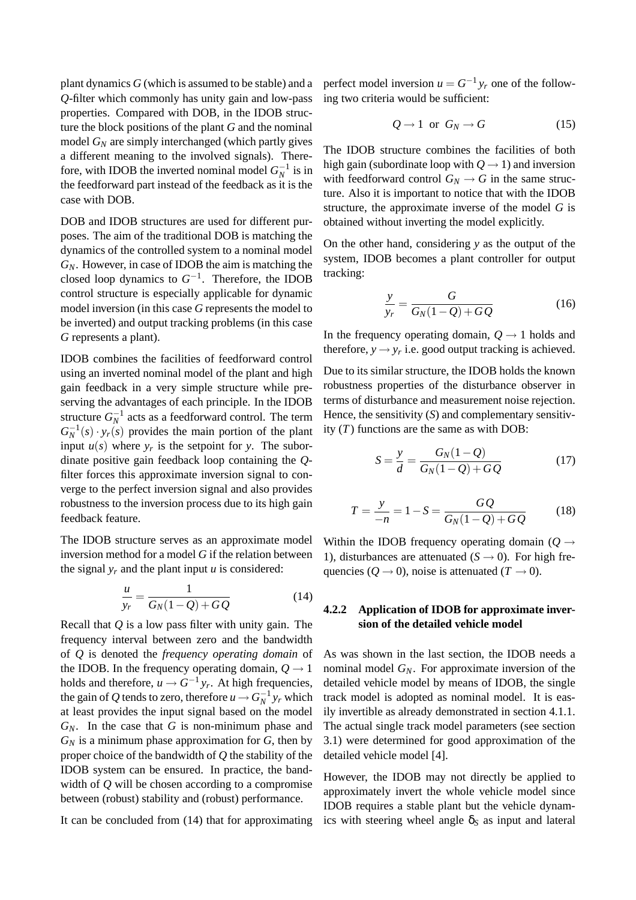plant dynamics *G* (which is assumed to be stable) and a *Q*-filter which commonly has unity gain and low-pass properties. Compared with DOB, in the IDOB structure the block positions of the plant *G* and the nominal model *G<sup>N</sup>* are simply interchanged (which partly gives a different meaning to the involved signals). Therefore, with IDOB the inverted nominal model  $G_N^{-1}$  is in the feedforward part instead of the feedback as it is the case with DOB.

DOB and IDOB structures are used for different purposes. The aim of the traditional DOB is matching the dynamics of the controlled system to a nominal model *GN*. However, in case of IDOB the aim is matching the closed loop dynamics to  $G^{-1}$ . Therefore, the IDOB control structure is especially applicable for dynamic model inversion (in this case *G* represents the model to be inverted) and output tracking problems (in this case *G* represents a plant).

IDOB combines the facilities of feedforward control using an inverted nominal model of the plant and high gain feedback in a very simple structure while preserving the advantages of each principle. In the IDOB structure  $G_N^{-1}$  acts as a feedforward control. The term  $G_N^{-1}(s) \cdot y_r(s)$  provides the main portion of the plant input  $u(s)$  where  $y_r$  is the setpoint for *y*. The subordinate positive gain feedback loop containing the *Q*filter forces this approximate inversion signal to converge to the perfect inversion signal and also provides robustness to the inversion process due to its high gain feedback feature.

The IDOB structure serves as an approximate model inversion method for a model *G* if the relation between the signal  $y_r$  and the plant input *u* is considered:

$$
\frac{u}{y_r} = \frac{1}{G_N(1 - Q) + GQ} \tag{14}
$$

Recall that *Q* is a low pass filter with unity gain. The frequency interval between zero and the bandwidth of *Q* is denoted the *frequency operating domain* of the IDOB. In the frequency operating domain,  $Q \rightarrow 1$ holds and therefore,  $u \to G^{-1}y_r$ . At high frequencies, the gain of  $Q$  tends to zero, therefore  $u \rightarrow G_N^{-1}$   $y_r$  which at least provides the input signal based on the model *GN*. In the case that *G* is non-minimum phase and  $G_N$  is a minimum phase approximation for  $G$ , then by proper choice of the bandwidth of *Q* the stability of the IDOB system can be ensured. In practice, the bandwidth of *Q* will be chosen according to a compromise between (robust) stability and (robust) performance.

It can be concluded from (14) that for approximating

perfect model inversion  $u = G^{-1}y_r$  one of the following two criteria would be sufficient:

$$
Q \to 1 \text{ or } G_N \to G \tag{15}
$$

The IDOB structure combines the facilities of both high gain (subordinate loop with  $Q \rightarrow 1$ ) and inversion with feedforward control  $G_N \to G$  in the same structure. Also it is important to notice that with the IDOB structure, the approximate inverse of the model *G* is obtained without inverting the model explicitly.

On the other hand, considering *y* as the output of the system, IDOB becomes a plant controller for output tracking:

$$
\frac{y}{y_r} = \frac{G}{G_N(1-Q) + GQ} \tag{16}
$$

In the frequency operating domain,  $Q \rightarrow 1$  holds and therefore,  $y \rightarrow y_r$  i.e. good output tracking is achieved.

Due to its similar structure, the IDOB holds the known robustness properties of the disturbance observer in terms of disturbance and measurement noise rejection. Hence, the sensitivity (*S*) and complementary sensitivity (*T*) functions are the same as with DOB:

$$
S = \frac{y}{d} = \frac{G_N(1 - Q)}{G_N(1 - Q) + GQ} \tag{17}
$$

$$
T = \frac{y}{-n} = 1 - S = \frac{GQ}{G_N(1 - Q) + GQ} \tag{18}
$$

Within the IDOB frequency operating domain ( $Q \rightarrow$ 1), disturbances are attenuated  $(S \rightarrow 0)$ . For high frequencies ( $Q \rightarrow 0$ ), noise is attenuated ( $T \rightarrow 0$ ).

#### **4.2.2 Application of IDOB for approximate inversion of the detailed vehicle model**

As was shown in the last section, the IDOB needs a nominal model *GN*. For approximate inversion of the detailed vehicle model by means of IDOB, the single track model is adopted as nominal model. It is easily invertible as already demonstrated in section 4.1.1. The actual single track model parameters (see section 3.1) were determined for good approximation of the detailed vehicle model [4].

However, the IDOB may not directly be applied to approximately invert the whole vehicle model since IDOB requires a stable plant but the vehicle dynamics with steering wheel angle  $\delta_S$  as input and lateral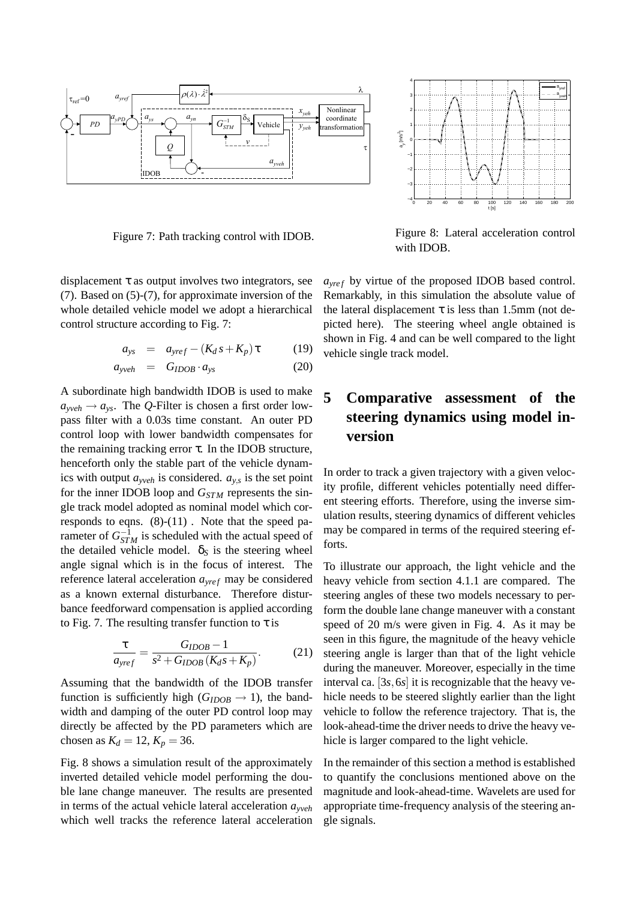

Figure 7: Path tracking control with IDOB.

displacement  $\tau$  as output involves two integrators, see (7). Based on (5)-(7), for approximate inversion of the whole detailed vehicle model we adopt a hierarchical control structure according to Fig. 7:

$$
a_{ys} = a_{\text{yref}} - (K_d s + K_p) \tau \tag{19}
$$

$$
a_{\text{yveh}} = G_{IDOB} \cdot a_{\text{ys}} \tag{20}
$$

A subordinate high bandwidth IDOB is used to make  $a_{\text{yveh}} \rightarrow a_{\text{ys}}$ . The *Q*-Filter is chosen a first order lowpass filter with a 0.03s time constant. An outer PD control loop with lower bandwidth compensates for the remaining tracking error  $\tau$ . In the IDOB structure, henceforth only the stable part of the vehicle dynamics with output *ayveh* is considered. *ay*,*<sup>s</sup>* is the set point for the inner IDOB loop and *GSTM* represents the single track model adopted as nominal model which corresponds to eqns. (8)-(11) . Note that the speed parameter of  $G_{STM}^{-1}$  is scheduled with the actual speed of the detailed vehicle model.  $\delta_S$  is the steering wheel angle signal which is in the focus of interest. The reference lateral acceleration  $a_{\text{vref}}$  may be considered as a known external disturbance. Therefore disturbance feedforward compensation is applied according to Fig. 7. The resulting transfer function to  $\tau$  is

$$
\frac{\tau}{a_{\text{yref}}} = \frac{G_{IDOB} - 1}{s^2 + G_{IDOB}(K_d s + K_p)}.
$$
 (21)

Assuming that the bandwidth of the IDOB transfer function is sufficiently high  $(G_{IDOB} \rightarrow 1)$ , the bandwidth and damping of the outer PD control loop may directly be affected by the PD parameters which are chosen as  $K_d = 12, K_p = 36$ .

Fig. 8 shows a simulation result of the approximately inverted detailed vehicle model performing the double lane change maneuver. The results are presented in terms of the actual vehicle lateral acceleration *ayveh* which well tracks the reference lateral acceleration



Figure 8: Lateral acceleration control with IDOB.

*ayre <sup>f</sup>* by virtue of the proposed IDOB based control. Remarkably, in this simulation the absolute value of the lateral displacement  $\tau$  is less than 1.5mm (not depicted here). The steering wheel angle obtained is shown in Fig. 4 and can be well compared to the light vehicle single track model.

## **5 Comparative assessment of the steering dynamics using model inversion**

In order to track a given trajectory with a given velocity profile, different vehicles potentially need different steering efforts. Therefore, using the inverse simulation results, steering dynamics of different vehicles may be compared in terms of the required steering efforts.

To illustrate our approach, the light vehicle and the heavy vehicle from section 4.1.1 are compared. The steering angles of these two models necessary to perform the double lane change maneuver with a constant speed of 20 m/s were given in Fig. 4. As it may be seen in this figure, the magnitude of the heavy vehicle steering angle is larger than that of the light vehicle during the maneuver. Moreover, especially in the time interval ca.  $[3s, 6s]$  it is recognizable that the heavy vehicle needs to be steered slightly earlier than the light vehicle to follow the reference trajectory. That is, the look-ahead-time the driver needs to drive the heavy vehicle is larger compared to the light vehicle.

In the remainder of this section a method is established to quantify the conclusions mentioned above on the magnitude and look-ahead-time. Wavelets are used for appropriate time-frequency analysis of the steering angle signals.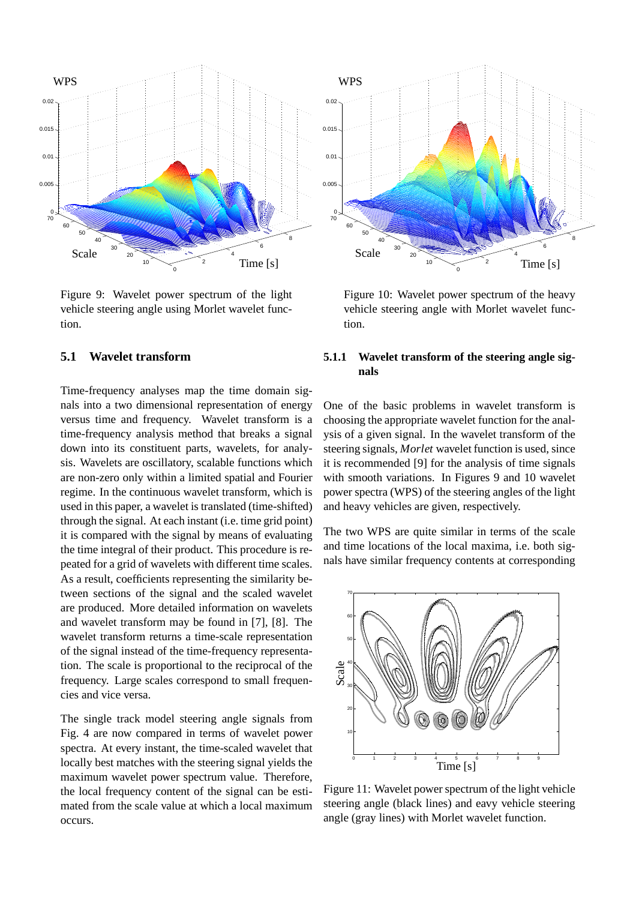

Figure 9: Wavelet power spectrum of the light vehicle steering angle using Morlet wavelet function.

#### **5.1 Wavelet transform**

Time-frequency analyses map the time domain signals into a two dimensional representation of energy versus time and frequency. Wavelet transform is a time-frequency analysis method that breaks a signal down into its constituent parts, wavelets, for analysis. Wavelets are oscillatory, scalable functions which are non-zero only within a limited spatial and Fourier regime. In the continuous wavelet transform, which is used in this paper, a wavelet is translated (time-shifted) through the signal. At each instant (i.e. time grid point) it is compared with the signal by means of evaluating the time integral of their product. This procedure is repeated for a grid of wavelets with different time scales. As a result, coefficients representing the similarity between sections of the signal and the scaled wavelet are produced. More detailed information on wavelets and wavelet transform may be found in [7], [8]. The wavelet transform returns a time-scale representation of the signal instead of the time-frequency representation. The scale is proportional to the reciprocal of the frequency. Large scales correspond to small frequencies and vice versa.

The single track model steering angle Sfrag replacements Fig. 4 are now compared in terms of wavelet power spectra. At every instant, the time-scaled wavelet that locally best matches with the steering signal yields the maximum wavelet power spectrum value. Therefore, the local frequency content of the signal can be estimated from the scale value at which a local maximum occurs.

Figure 10: Wavelet power spectrum of the heavy vehicle steering angle with Morlet wavelet function.

#### **5.1.1 Wavelet transform of the steering angle signals**

One of the basic problems in wavelet transform is choosing the appropriate wavelet function for the analysis of a given signal. In the wavelet transform of the steering signals, *Morlet* wavelet function is used, since it is recommended [9] for the analysis of time signals with smooth variations. In Figures 9 and 10 wavelet power spectra (WPS) of the steering angles of the light and heavy vehicles are given, respectively.

The two WPS are quite similar in terms of the scale and time locations of the local maxima, i.e. both signals have similar frequency contents at corresponding



Figure 11: Wavelet power spectrum of the light vehicle steering angle (black lines) and eavy vehicle steering angle (gray lines) with Morlet wavelet function.